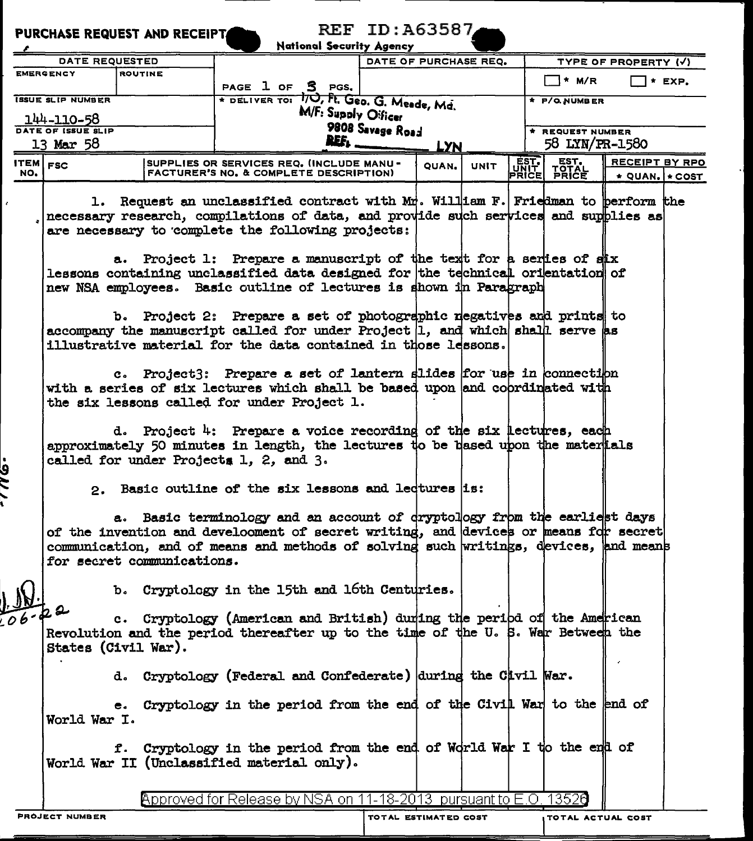| <b>REF ID: A63587</b><br><b>PURCHASE REQUEST AND RECEIPTA</b><br><b>National Security Agency</b> |                                                                                                                                                                                                                            |  |                                                                                                                                                                                                                                                                                                      |                       |                      |  |                                         |                                              |  |  |  |
|--------------------------------------------------------------------------------------------------|----------------------------------------------------------------------------------------------------------------------------------------------------------------------------------------------------------------------------|--|------------------------------------------------------------------------------------------------------------------------------------------------------------------------------------------------------------------------------------------------------------------------------------------------------|-----------------------|----------------------|--|-----------------------------------------|----------------------------------------------|--|--|--|
| DATE REQUESTED                                                                                   |                                                                                                                                                                                                                            |  |                                                                                                                                                                                                                                                                                                      | DATE OF PURCHASE REQ. |                      |  | TYPE OF PROPERTY (V)                    |                                              |  |  |  |
| <b>EMERGENCY</b><br><b>ROUTINE</b>                                                               |                                                                                                                                                                                                                            |  |                                                                                                                                                                                                                                                                                                      |                       |                      |  |                                         |                                              |  |  |  |
|                                                                                                  |                                                                                                                                                                                                                            |  | PAGE 1 OF 5 PGS.                                                                                                                                                                                                                                                                                     |                       |                      |  | <sup>*</sup> M/R                        | $*$ EXP.                                     |  |  |  |
|                                                                                                  | <b>ISSUE SLIP NUMBER</b>                                                                                                                                                                                                   |  | * DELIVER TOI 10, Ft. Geo. G. Meede, Md.                                                                                                                                                                                                                                                             | * P/O NUMBER          |                      |  |                                         |                                              |  |  |  |
|                                                                                                  | 144-110-58                                                                                                                                                                                                                 |  | M/F: Supply Oificer                                                                                                                                                                                                                                                                                  |                       |                      |  |                                         |                                              |  |  |  |
| DATE OF ISSUE SLIP                                                                               |                                                                                                                                                                                                                            |  |                                                                                                                                                                                                                                                                                                      | 9808 Savage Road      |                      |  | * REQUEST NUMBER                        |                                              |  |  |  |
|                                                                                                  | 13 Mar 58                                                                                                                                                                                                                  |  | REF.                                                                                                                                                                                                                                                                                                 |                       | <b>LYN</b>           |  |                                         | 58 LYN/PR-1580                               |  |  |  |
| ITEM $F_{\text{FSC}}$<br>NO.                                                                     |                                                                                                                                                                                                                            |  | SUPPLIES OR SERVICES REQ. (INCLUDE MANU -<br><b>FACTURER'S NO. &amp; COMPLETE DESCRIPTION)</b>                                                                                                                                                                                                       |                       | OUAN.<br><b>UNIT</b> |  | EST.<br>TOTAL<br>PRICE<br>EST.<br>PRICE | RECEIPT BY RPO<br>$\star$ QUAN. $\star$ COST |  |  |  |
|                                                                                                  | 1.                                                                                                                                                                                                                         |  | Request an unclassified contract with $M_T^*$ . William F. Friedman to perform the<br>necessary research, compilations of data, and provide such services and supplies as<br>are necessary to complete the following projects:<br>a. Project 1: Prepare a manuscript of the text for a series of six |                       |                      |  |                                         |                                              |  |  |  |
|                                                                                                  |                                                                                                                                                                                                                            |  | lessons containing unclassified data designed for the technical orientation of<br>new NSA employees. Basic outline of lectures is shown in Paragraph                                                                                                                                                 |                       |                      |  |                                         |                                              |  |  |  |
|                                                                                                  | b. Project 2: Prepare a set of photographic regatives and prints to<br>accompany the manuscript called for under Project $ 1$ , and which shall serve as<br>illustrative material for the data contained in those lessons. |  |                                                                                                                                                                                                                                                                                                      |                       |                      |  |                                         |                                              |  |  |  |
|                                                                                                  | c. Project3: Prepare a set of lantern slides for use in connection<br>with a series of six lectures which shall be based upon and coprdinated with<br>the six lessons called for under Project 1.                          |  |                                                                                                                                                                                                                                                                                                      |                       |                      |  |                                         |                                              |  |  |  |
|                                                                                                  | d. Project 4: Prepare a voice recording of the six lectures, each<br>approximately 50 minutes in length, the lectures to be based upon the mater tals<br>called for under Projects 1, 2, and 3.                            |  |                                                                                                                                                                                                                                                                                                      |                       |                      |  |                                         |                                              |  |  |  |
| a<br>S                                                                                           |                                                                                                                                                                                                                            |  | 2. Basic outline of the six lessons and ledtures is:                                                                                                                                                                                                                                                 |                       |                      |  |                                         |                                              |  |  |  |
|                                                                                                  | for secret communications.                                                                                                                                                                                                 |  | a. Basic terminology and an account of dryptology from the earliest days<br>of the invention and develooment of secret writing, and devices or means for secret<br>communication, and of means and methods of solving such writings, devices, and means                                              |                       |                      |  |                                         |                                              |  |  |  |
|                                                                                                  |                                                                                                                                                                                                                            |  | b. Cryptology in the 15th and 16th Centuries.                                                                                                                                                                                                                                                        |                       |                      |  |                                         |                                              |  |  |  |
| $.06 - 22$                                                                                       | States (Civil War).                                                                                                                                                                                                        |  | c. Cryptology (American and British) during the peribd of the American<br>Revolution and the period thereafter up to the time of the U.S. War Between the                                                                                                                                            |                       |                      |  |                                         |                                              |  |  |  |
|                                                                                                  |                                                                                                                                                                                                                            |  | d. Cryptology (Federal and Confederate) during the Cavil War.                                                                                                                                                                                                                                        |                       |                      |  |                                         |                                              |  |  |  |
|                                                                                                  | World War I.                                                                                                                                                                                                               |  | e. Cryptology in the period from the end of the Civil War to the end of                                                                                                                                                                                                                              |                       |                      |  |                                         |                                              |  |  |  |
|                                                                                                  |                                                                                                                                                                                                                            |  | f. Cryptology in the period from the end of World War I to the end of<br>World War II (Unclassified material only).                                                                                                                                                                                  |                       |                      |  |                                         |                                              |  |  |  |
|                                                                                                  |                                                                                                                                                                                                                            |  | Approved for Release by NSA on 11-18-2013 pursuant to E.O. 13520                                                                                                                                                                                                                                     |                       |                      |  |                                         |                                              |  |  |  |
|                                                                                                  | <b>PROJECT NUMBER</b>                                                                                                                                                                                                      |  |                                                                                                                                                                                                                                                                                                      |                       | TOTAL ESTIMATED COST |  | <b>TOTAL ACTUAL COST</b>                |                                              |  |  |  |
|                                                                                                  |                                                                                                                                                                                                                            |  |                                                                                                                                                                                                                                                                                                      |                       |                      |  |                                         |                                              |  |  |  |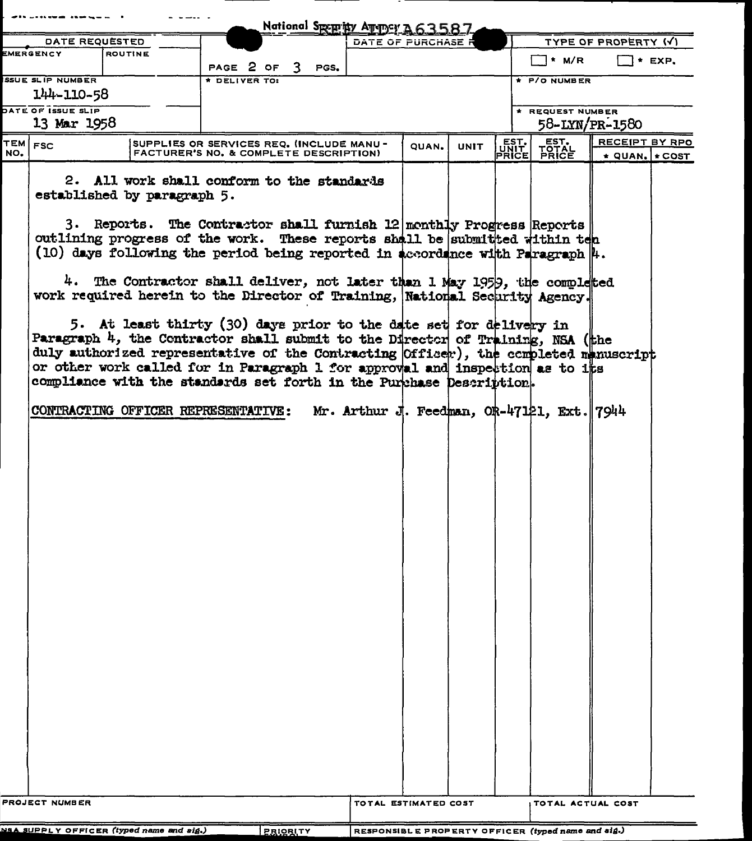|                                                             |                         |                                                                                                                                                          |                                           |  |  | National Speprity August A63587                      |                                           |             |               |                                            |                            |  |
|-------------------------------------------------------------|-------------------------|----------------------------------------------------------------------------------------------------------------------------------------------------------|-------------------------------------------|--|--|------------------------------------------------------|-------------------------------------------|-------------|---------------|--------------------------------------------|----------------------------|--|
| <b>DATE REQUESTED</b>                                       |                         |                                                                                                                                                          |                                           |  |  | DATE OF PURCHASE P                                   |                                           |             |               |                                            | TYPE OF PROPERTY (V)       |  |
| EMERGENCY<br><b>ROUTINE</b>                                 |                         | PAGE 2 OF 3 PGS.                                                                                                                                         |                                           |  |  |                                                      |                                           |             | ヿ* M/R        | $\Box$ * EXP.                              |                            |  |
|                                                             | <b>SSUE SLIP NUMBER</b> |                                                                                                                                                          | <b>DELIVER TO:</b>                        |  |  |                                                      |                                           |             |               | $+ P/O NUMBER$                             |                            |  |
|                                                             | 144-110-58              |                                                                                                                                                          |                                           |  |  |                                                      |                                           |             |               |                                            |                            |  |
|                                                             | DATE OF ISSUE SLIP      |                                                                                                                                                          |                                           |  |  |                                                      |                                           |             |               | * REQUEST NUMBER                           |                            |  |
|                                                             | 13 Mar 1958             |                                                                                                                                                          |                                           |  |  |                                                      |                                           |             |               |                                            | 58-LYN/PR-1580             |  |
| TEM FSC                                                     |                         |                                                                                                                                                          | SUPPLIES OR SERVICES REQ. (INCLUDE MANU - |  |  |                                                      | <b>OUAN.</b>                              | <b>UNIT</b> | EST.<br>PRICE | EST.<br>TOTAL<br>PRICE                     | RECEIPT BY RPO             |  |
| NO.                                                         |                         |                                                                                                                                                          | FACTURER'S NO. & COMPLETE DESCRIPTION)    |  |  |                                                      |                                           |             |               |                                            | $\star$ QUAN. $\star$ COST |  |
|                                                             |                         | 2. All work shall conform to the standards<br>established by paragraph 5.                                                                                |                                           |  |  |                                                      |                                           |             |               |                                            |                            |  |
|                                                             |                         | 3. Reports. The Contractor shall furnish 12 monthly Progress Reports<br>outlining progress of the work. These reports shall be submitted within ten      |                                           |  |  |                                                      |                                           |             |               |                                            |                            |  |
|                                                             |                         | (10) days following the period being reported in accordance with Paragraph $\ $ .                                                                        |                                           |  |  |                                                      |                                           |             |               |                                            |                            |  |
|                                                             |                         | 4. The Contractor shall deliver, not later than 1 May 1959, the completed<br>work required herein to the Director of Training, National Security Agency. |                                           |  |  |                                                      |                                           |             |               |                                            |                            |  |
|                                                             |                         | 5. At least thirty (30) days prior to the date set for delivery in<br>Paragraph 4, the Contractor shall submit to the Director of Training, NSA (the     |                                           |  |  |                                                      |                                           |             |               |                                            |                            |  |
|                                                             |                         | duly authorized representative of the Contracting (Officer), the completed manuscript                                                                    |                                           |  |  |                                                      |                                           |             |               |                                            |                            |  |
|                                                             |                         | or other work called for in Paragraph 1 for approval and inspection as to its<br>compliance with the standards set forth in the Purchase Description.    |                                           |  |  |                                                      |                                           |             |               |                                            |                            |  |
|                                                             |                         | CONTRACTING OFFICER REPRESENTATIVE:                                                                                                                      |                                           |  |  |                                                      |                                           |             |               | Mr. Arthur J. Feedman, OR-47121, Ext. 7944 |                            |  |
|                                                             |                         |                                                                                                                                                          |                                           |  |  |                                                      |                                           |             |               |                                            |                            |  |
|                                                             |                         |                                                                                                                                                          |                                           |  |  |                                                      |                                           |             |               |                                            |                            |  |
|                                                             |                         |                                                                                                                                                          |                                           |  |  |                                                      |                                           |             |               |                                            |                            |  |
|                                                             |                         |                                                                                                                                                          |                                           |  |  |                                                      |                                           |             |               |                                            |                            |  |
|                                                             |                         |                                                                                                                                                          |                                           |  |  |                                                      |                                           |             |               |                                            |                            |  |
|                                                             |                         |                                                                                                                                                          |                                           |  |  |                                                      |                                           |             |               |                                            |                            |  |
|                                                             |                         |                                                                                                                                                          |                                           |  |  |                                                      |                                           |             |               |                                            |                            |  |
|                                                             |                         |                                                                                                                                                          |                                           |  |  |                                                      |                                           |             |               |                                            |                            |  |
|                                                             |                         |                                                                                                                                                          |                                           |  |  |                                                      |                                           |             |               |                                            |                            |  |
|                                                             |                         |                                                                                                                                                          |                                           |  |  |                                                      |                                           |             |               |                                            |                            |  |
|                                                             |                         |                                                                                                                                                          |                                           |  |  |                                                      |                                           |             |               |                                            |                            |  |
|                                                             | PROJECT NUMBER          |                                                                                                                                                          |                                           |  |  |                                                      | TOTAL ESTIMATED COST<br>TOTAL ACTUAL COST |             |               |                                            |                            |  |
| NSA SUPPLY OFFICER (typed name and sig.)<br><b>PRIORITY</b> |                         |                                                                                                                                                          |                                           |  |  | $RESPONSBLE PROPERTY OFFIGER (tuned name and side.)$ |                                           |             |               |                                            |                            |  |